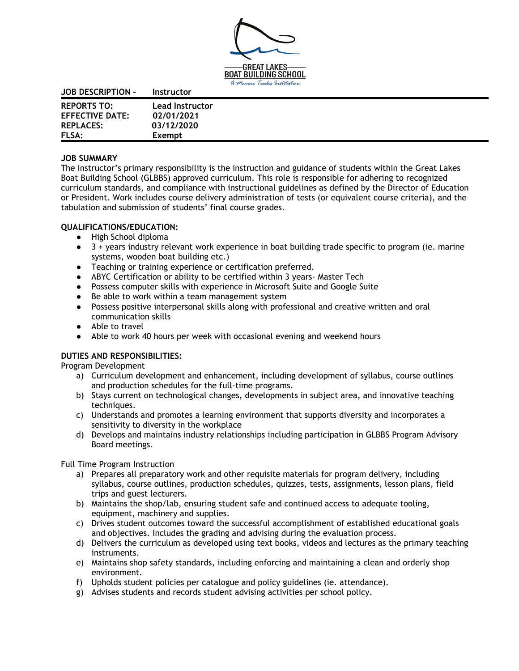

| <b>JOB DESCRIPTION -</b> | <b>Instructor</b>      |
|--------------------------|------------------------|
| <b>REPORTS TO:</b>       | <b>Lead Instructor</b> |
| <b>EFFECTIVE DATE:</b>   | 02/01/2021             |
| <b>REPLACES:</b>         | 03/12/2020             |
| <b>FLSA:</b>             | Exempt                 |

## **JOB SUMMARY**

The Instructor's primary responsibility is the instruction and guidance of students within the Great Lakes Boat Building School (GLBBS) approved curriculum. This role is responsible for adhering to recognized curriculum standards, and compliance with instructional guidelines as defined by the Director of Education or President. Work includes course delivery administration of tests (or equivalent course criteria), and the tabulation and submission of students' final course grades.

## **QUALIFICATIONS/EDUCATION:**

- High School diploma
- 3 + years industry relevant work experience in boat building trade specific to program (ie. marine systems, wooden boat building etc.)
- Teaching or training experience or certification preferred.
- ABYC Certification or ability to be certified within 3 years- Master Tech
- Possess computer skills with experience in Microsoft Suite and Google Suite
- Be able to work within a team management system
- Possess positive interpersonal skills along with professional and creative written and oral communication skills
- Able to travel
- Able to work 40 hours per week with occasional evening and weekend hours

## **DUTIES AND RESPONSIBILITIES:**

Program Development

- a) Curriculum development and enhancement, including development of syllabus, course outlines and production schedules for the full-time programs.
- b) Stays current on technological changes, developments in subject area, and innovative teaching techniques.
- c) Understands and promotes a learning environment that supports diversity and incorporates a sensitivity to diversity in the workplace
- d) Develops and maintains industry relationships including participation in GLBBS Program Advisory Board meetings.

Full Time Program Instruction

- a) Prepares all preparatory work and other requisite materials for program delivery, including syllabus, course outlines, production schedules, quizzes, tests, assignments, lesson plans, field trips and guest lecturers.
- b) Maintains the shop/lab, ensuring student safe and continued access to adequate tooling, equipment, machinery and supplies.
- c) Drives student outcomes toward the successful accomplishment of established educational goals and objectives. Includes the grading and advising during the evaluation process.
- d) Delivers the curriculum as developed using text books, videos and lectures as the primary teaching instruments.
- e) Maintains shop safety standards, including enforcing and maintaining a clean and orderly shop environment.
- f) Upholds student policies per catalogue and policy guidelines (ie. attendance).
- g) Advises students and records student advising activities per school policy.